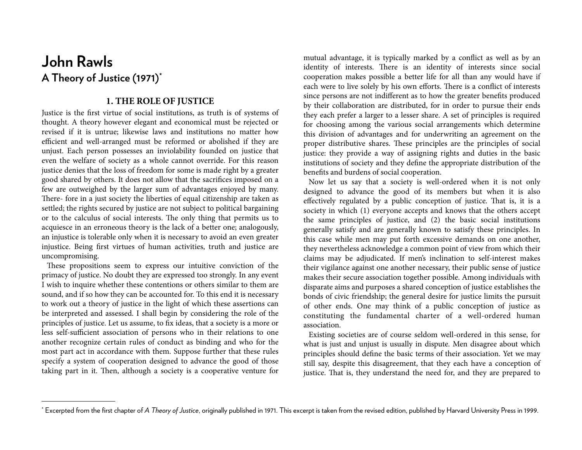## **John Rawls A Theory of Justice (1971)[\\*](#page-0-0)**

## **1. THE ROLE OF JUSTICE**

Justice is the first virtue of social institutions, as truth is of systems of thought. A theory however elegant and economical must be rejected or revised if it is untrue; likewise laws and institutions no matter how efficient and well-arranged must be reformed or abolished if they are unjust. Each person possesses an inviolability founded on justice that even the welfare of society as a whole cannot override. For this reason justice denies that the loss of freedom for some is made right by a greater good shared by others. It does not allow that the sacrifices imposed on a few are outweighed by the larger sum of advantages enjoyed by many. There- fore in a just society the liberties of equal citizenship are taken as settled; the rights secured by justice are not subject to political bargaining or to the calculus of social interests. The only thing that permits us to acquiesce in an erroneous theory is the lack of a better one; analogously, an injustice is tolerable only when it is necessary to avoid an even greater injustice. Being first virtues of human activities, truth and justice are uncompromising.

These propositions seem to express our intuitive conviction of the primacy of justice. No doubt they are expressed too strongly. In any event I wish to inquire whether these contentions or others similar to them are sound, and if so how they can be accounted for. To this end it is necessary to work out a theory of justice in the light of which these assertions can be interpreted and assessed. I shall begin by considering the role of the principles of justice. Let us assume, to fix ideas, that a society is a more or less self-sufficient association of persons who in their relations to one another recognize certain rules of conduct as binding and who for the most part act in accordance with them. Suppose further that these rules specify a system of cooperation designed to advance the good of those taking part in it. Then, although a society is a cooperative venture for

mutual advantage, it is typically marked by a conflict as well as by an identity of interests. There is an identity of interests since social cooperation makes possible a better life for all than any would have if each were to live solely by his own efforts. There is a conflict of interests since persons are not indifferent as to how the greater benefits produced by their collaboration are distributed, for in order to pursue their ends they each prefer a larger to a lesser share. A set of principles is required for choosing among the various social arrangements which determine this division of advantages and for underwriting an agreement on the proper distributive shares. These principles are the principles of social justice: they provide a way of assigning rights and duties in the basic institutions of society and they define the appropriate distribution of the benefits and burdens of social cooperation.

Now let us say that a society is well-ordered when it is not only designed to advance the good of its members but when it is also effectively regulated by a public conception of justice. That is, it is a society in which (1) everyone accepts and knows that the others accept the same principles of justice, and (2) the basic social institutions generally satisfy and are generally known to satisfy these principles. In this case while men may put forth excessive demands on one another, they nevertheless acknowledge a common point of view from which their claims may be adjudicated. If men's inclination to self-interest makes their vigilance against one another necessary, their public sense of justice makes their secure association together possible. Among individuals with disparate aims and purposes a shared conception of justice establishes the bonds of civic friendship; the general desire for justice limits the pursuit of other ends. One may think of a public conception of justice as constituting the fundamental charter of a well-ordered human association.

Existing societies are of course seldom well-ordered in this sense, for what is just and unjust is usually in dispute. Men disagree about which principles should define the basic terms of their association. Yet we may still say, despite this disagreement, that they each have a conception of justice. That is, they understand the need for, and they are prepared to

<span id="page-0-0"></span><sup>\*</sup> Excerpted from the first chapter of *A Theory of Justice*, originally published in 1971. This excerpt is taken from the revised edition, published by Harvard University Press in 1999.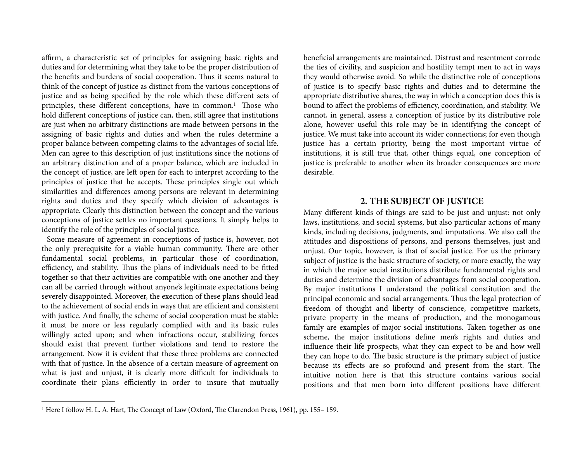affirm, a characteristic set of principles for assigning basic rights and duties and for determining what they take to be the proper distribution of the benefits and burdens of social cooperation. Thus it seems natural to think of the concept of justice as distinct from the various conceptions of justice and as being specified by the role which these different sets of principles, these different conceptions, have in common.<sup>1</sup> Those who hold different conceptions of justice can, then, still agree that institutions are just when no arbitrary distinctions are made between persons in the assigning of basic rights and duties and when the rules determine a proper balance between competing claims to the advantages of social life. Men can agree to this description of just institutions since the notions of an arbitrary distinction and of a proper balance, which are included in the concept of justice, are left open for each to interpret according to the principles of justice that he accepts. These principles single out which similarities and differences among persons are relevant in determining rights and duties and they specify which division of advantages is appropriate. Clearly this distinction between the concept and the various conceptions of justice settles no important questions. It simply helps to identify the role of the principles of social justice.

Some measure of agreement in conceptions of justice is, however, not the only prerequisite for a viable human community. There are other fundamental social problems, in particular those of coordination, efficiency, and stability. Thus the plans of individuals need to be fitted together so that their activities are compatible with one another and they can all be carried through without anyone's legitimate expectations being severely disappointed. Moreover, the execution of these plans should lead to the achievement of social ends in ways that are efficient and consistent with justice. And finally, the scheme of social cooperation must be stable: it must be more or less regularly complied with and its basic rules willingly acted upon; and when infractions occur, stabilizing forces should exist that prevent further violations and tend to restore the arrangement. Now it is evident that these three problems are connected with that of justice. In the absence of a certain measure of agreement on what is just and unjust, it is clearly more difficult for individuals to coordinate their plans efficiently in order to insure that mutually beneficial arrangements are maintained. Distrust and resentment corrode the ties of civility, and suspicion and hostility tempt men to act in ways they would otherwise avoid. So while the distinctive role of conceptions of justice is to specify basic rights and duties and to determine the appropriate distributive shares, the way in which a conception does this is bound to affect the problems of efficiency, coordination, and stability. We cannot, in general, assess a conception of justice by its distributive role alone, however useful this role may be in identifying the concept of justice. We must take into account its wider connections; for even though justice has a certain priority, being the most important virtue of institutions, it is still true that, other things equal, one conception of justice is preferable to another when its broader consequences are more desirable.

## **2. THE SUBJECT OF JUSTICE**

Many different kinds of things are said to be just and unjust: not only laws, institutions, and social systems, but also particular actions of many kinds, including decisions, judgments, and imputations. We also call the attitudes and dispositions of persons, and persons themselves, just and unjust. Our topic, however, is that of social justice. For us the primary subject of justice is the basic structure of society, or more exactly, the way in which the major social institutions distribute fundamental rights and duties and determine the division of advantages from social cooperation. By major institutions I understand the political constitution and the principal economic and social arrangements. Thus the legal protection of freedom of thought and liberty of conscience, competitive markets, private property in the means of production, and the monogamous family are examples of major social institutions. Taken together as one scheme, the major institutions define men's rights and duties and influence their life prospects, what they can expect to be and how well they can hope to do. The basic structure is the primary subject of justice because its effects are so profound and present from the start. The intuitive notion here is that this structure contains various social positions and that men born into different positions have different

<span id="page-1-0"></span><sup>&</sup>lt;sup>1</sup> Here I follow H. L. A. Hart, The Concept of Law (Oxford, The Clarendon Press, 1961), pp. 155– 159.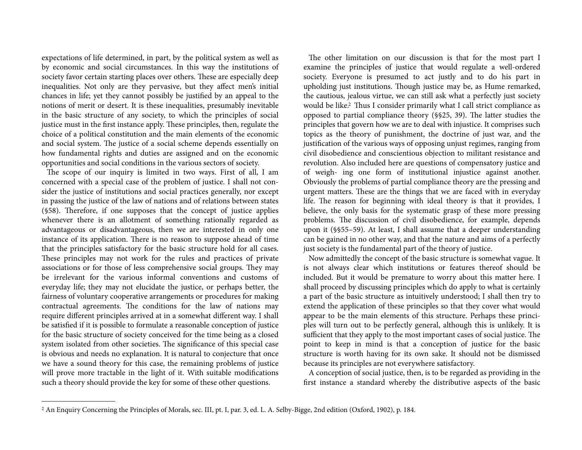expectations of life determined, in part, by the political system as well as by economic and social circumstances. In this way the institutions of society favor certain starting places over others. These are especially deep inequalities. Not only are they pervasive, but they affect men's initial chances in life; yet they cannot possibly be justified by an appeal to the notions of merit or desert. It is these inequalities, presumably inevitable in the basic structure of any society, to which the principles of social justice must in the first instance apply. These principles, then, regulate the choice of a political constitution and the main elements of the economic and social system. The justice of a social scheme depends essentially on how fundamental rights and duties are assigned and on the economic opportunities and social conditions in the various sectors of society.

The scope of our inquiry is limited in two ways. First of all, I am concerned with a special case of the problem of justice. I shall not consider the justice of institutions and social practices generally, nor except in passing the justice of the law of nations and of relations between states ( $$58$ ). Therefore, if one supposes that the concept of justice applies whenever there is an allotment of something rationally regarded as advantageous or disadvantageous, then we are interested in only one instance of its application. There is no reason to suppose ahead of time that the principles satisfactory for the basic structure hold for all cases. These principles may not work for the rules and practices of private associations or for those of less comprehensive social groups. They may be irrelevant for the various informal conventions and customs of everyday life; they may not elucidate the justice, or perhaps better, the fairness of voluntary cooperative arrangements or procedures for making contractual agreements. The conditions for the law of nations may require different principles arrived at in a somewhat different way. I shall be satisfied if it is possible to formulate a reasonable conception of justice for the basic structure of society conceived for the time being as a closed system isolated from other societies. The significance of this special case is obvious and needs no explanation. It is natural to conjecture that once we have a sound theory for this case, the remaining problems of justice will prove more tractable in the light of it. With suitable modifications such a theory should provide the key for some of these other questions.

The other limitation on our discussion is that for the most part I examine the principles of justice that would regulate a well-ordered society. Everyone is presumed to act justly and to do his part in upholding just institutions. Though justice may be, as Hume remarked, the cautious, jealous virtue, we can still ask what a perfectly just society would be like.<sup>2</sup> Thus I consider primarily what I call strict compliance as opposed to partial compliance theory ( $\S$  $\S$ 25, 39). The latter studies the principles that govern how we are to deal with injustice. It comprises such topics as the theory of punishment, the doctrine of just war, and the justification of the various ways of opposing unjust regimes, ranging from civil disobedience and conscientious objection to militant resistance and revolution. Also included here are questions of compensatory justice and of weigh- ing one form of institutional injustice against another. Obviously the problems of partial compliance theory are the pressing and urgent matters. These are the things that we are faced with in everyday life. The reason for beginning with ideal theory is that it provides, I believe, the only basis for the systematic grasp of these more pressing problems. The discussion of civil disobedience, for example, depends upon it (§§55–59). At least, I shall assume that a deeper understanding can be gained in no other way, and that the nature and aims of a perfectly just society is the fundamental part of the theory of justice.

Now admittedly the concept of the basic structure is somewhat vague. It is not always clear which institutions or features thereof should be included. But it would be premature to worry about this matter here. I shall proceed by discussing principles which do apply to what is certainly a part of the basic structure as intuitively understood; I shall then try to extend the application of these principles so that they cover what would appear to be the main elements of this structure. Perhaps these principles will turn out to be perfectly general, although this is unlikely. It is sufficient that they apply to the most important cases of social justice. The point to keep in mind is that a conception of justice for the basic structure is worth having for its own sake. It should not be dismissed because its principles are not everywhere satisfactory.

A conception of social justice, then, is to be regarded as providing in the first instance a standard whereby the distributive aspects of the basic

<span id="page-2-0"></span><sup>2</sup> An Enquiry Concerning the Principles of Morals, sec. III, pt. I, par. 3, ed. L. A. Selby-Bigge, 2nd edition (Oxford, 1902), p. 184.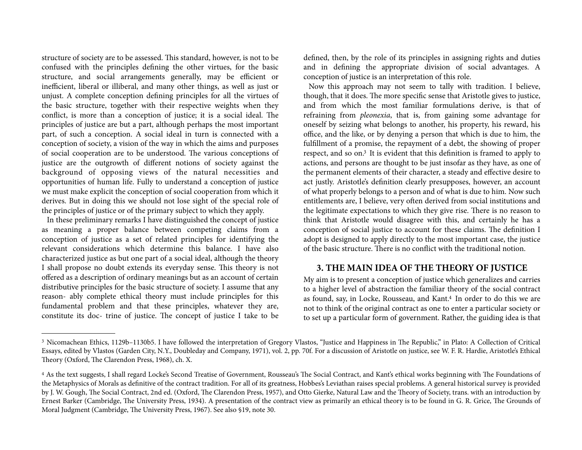structure of society are to be assessed. This standard, however, is not to be confused with the principles defining the other virtues, for the basic structure, and social arrangements generally, may be efficient or inefficient, liberal or illiberal, and many other things, as well as just or unjust. A complete conception defining principles for all the virtues of the basic structure, together with their respective weights when they conflict, is more than a conception of justice; it is a social ideal. The principles of justice are but a part, although perhaps the most important part, of such a conception. A social ideal in turn is connected with a conception of society, a vision of the way in which the aims and purposes of social cooperation are to be understood. The various conceptions of justice are the outgrowth of different notions of society against the background of opposing views of the natural necessities and opportunities of human life. Fully to understand a conception of justice we must make explicit the conception of social cooperation from which it derives. But in doing this we should not lose sight of the special role of the principles of justice or of the primary subject to which they apply.

In these preliminary remarks I have distinguished the concept of justice as meaning a proper balance between competing claims from a conception of justice as a set of related principles for identifying the relevant considerations which determine this balance. I have also characterized justice as but one part of a social ideal, although the theory I shall propose no doubt extends its everyday sense. This theory is not offered as a description of ordinary meanings but as an account of certain distributive principles for the basic structure of society. I assume that any reason- ably complete ethical theory must include principles for this fundamental problem and that these principles, whatever they are, constitute its doc- trine of justice. The concept of justice I take to be

defined, then, by the role of its principles in assigning rights and duties and in defining the appropriate division of social advantages. A conception of justice is an interpretation of this role.

Now this approach may not seem to tally with tradition. I believe, though, that it does. The more specific sense that Aristotle gives to justice, and from which the most familiar formulations derive, is that of refraining from *pleonexia*, that is, from gaining some advantage for oneself by seizing what belongs to another, his property, his reward, his office, and the like, or by denying a person that which is due to him, the fulfillment of a promise, the repayment of a debt, the showing of proper respect, and so on.<sup>3</sup> It is evident that this definition is framed to apply to actions, and persons are thought to be just insofar as they have, as one of the permanent elements of their character, a steady and effective desire to act justly. Aristotle's definition clearly presupposes, however, an account of what properly belongs to a person and of what is due to him. Now such entitlements are, I believe, very often derived from social institutions and the legitimate expectations to which they give rise. There is no reason to think that Aristotle would disagree with this, and certainly he has a conception of social justice to account for these claims. The definition I adopt is designed to apply directly to the most important case, the justice of the basic structure. There is no conflict with the traditional notion.

## **3. THE MAIN IDEA OF THE THEORY OF JUSTICE**

My aim is to present a conception of justice which generalizes and carries to a higher level of abstraction the familiar theory of the social contract as found, say, in Locke, Rousseau, and Kant[.4](#page-3-1) In order to do this we are not to think of the original contract as one to enter a particular society or to set up a particular form of government. Rather, the guiding idea is that

<span id="page-3-0"></span><sup>&</sup>lt;sup>3</sup> Nicomachean Ethics, 1129b–1130b5. I have followed the interpretation of Gregory Vlastos, "Justice and Happiness in The Republic," in Plato: A Collection of Critical Essays, edited by Vlastos (Garden City, N.Y., Doubleday and Company, 1971), vol. 2, pp. 70f. For a discussion of Aristotle on justice, see W. F. R. Hardie, Aristotle's Ethical Theory (Oxford, The Clarendon Press, 1968), ch. X.

<span id="page-3-1"></span><sup>&</sup>lt;sup>4</sup> As the text suggests, I shall regard Locke's Second Treatise of Government, Rousseau's The Social Contract, and Kant's ethical works beginning with The Foundations of the Metaphysics of Morals as definitive of the contract tradition. For all of its greatness, Hobbes's Leviathan raises special problems. A general historical survey is provided by J. W. Gough, The Social Contract, 2nd ed. (Oxford, The Clarendon Press, 1957), and Otto Gierke, Natural Law and the Theory of Society, trans. with an introduction by Ernest Barker (Cambridge, The University Press, 1934). A presentation of the contract view as primarily an ethical theory is to be found in G. R. Grice, The Grounds of Moral Judgment (Cambridge, The University Press, 1967). See also §19, note 30.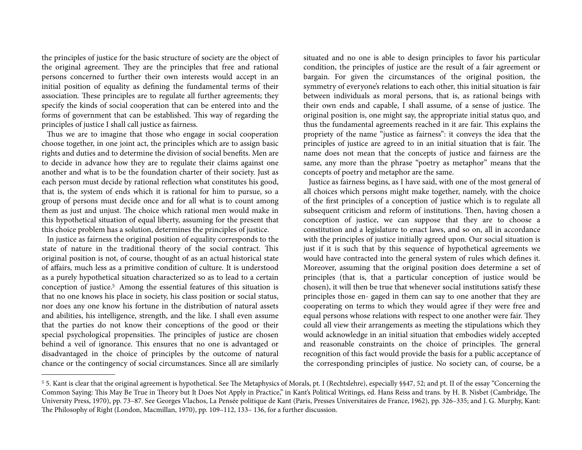the principles of justice for the basic structure of society are the object of the original agreement. They are the principles that free and rational persons concerned to further their own interests would accept in an initial position of equality as defining the fundamental terms of their association. These principles are to regulate all further agreements; they specify the kinds of social cooperation that can be entered into and the forms of government that can be established. This way of regarding the principles of justice I shall call justice as fairness.

Thus we are to imagine that those who engage in social cooperation choose together, in one joint act, the principles which are to assign basic rights and duties and to determine the division of social benefits. Men are to decide in advance how they are to regulate their claims against one another and what is to be the foundation charter of their society. Just as each person must decide by rational reflection what constitutes his good, that is, the system of ends which it is rational for him to pursue, so a group of persons must decide once and for all what is to count among them as just and unjust. The choice which rational men would make in this hypothetical situation of equal liberty, assuming for the present that this choice problem has a solution, determines the principles of justice.

In justice as fairness the original position of equality corresponds to the state of nature in the traditional theory of the social contract. This original position is not, of course, thought of as an actual historical state of affairs, much less as a primitive condition of culture. It is understood as a purely hypothetical situation characterized so as to lead to a certain conception of justice.[5](#page-4-0) Among the essential features of this situation is that no one knows his place in society, his class position or social status, nor does any one know his fortune in the distribution of natural assets and abilities, his intelligence, strength, and the like. I shall even assume that the parties do not know their conceptions of the good or their special psychological propensities. The principles of justice are chosen behind a veil of ignorance. This ensures that no one is advantaged or disadvantaged in the choice of principles by the outcome of natural chance or the contingency of social circumstances. Since all are similarly situated and no one is able to design principles to favor his particular condition, the principles of justice are the result of a fair agreement or bargain. For given the circumstances of the original position, the symmetry of everyone's relations to each other, this initial situation is fair between individuals as moral persons, that is, as rational beings with their own ends and capable, I shall assume, of a sense of justice. The original position is, one might say, the appropriate initial status quo, and thus the fundamental agreements reached in it are fair. This explains the propriety of the name "justice as fairness": it conveys the idea that the principles of justice are agreed to in an initial situation that is fair. The name does not mean that the concepts of justice and fairness are the same, any more than the phrase "poetry as metaphor" means that the concepts of poetry and metaphor are the same.

Justice as fairness begins, as I have said, with one of the most general of all choices which persons might make together, namely, with the choice of the first principles of a conception of justice which is to regulate all subsequent criticism and reform of institutions. Then, having chosen a conception of justice, we can suppose that they are to choose a constitution and a legislature to enact laws, and so on, all in accordance with the principles of justice initially agreed upon. Our social situation is just if it is such that by this sequence of hypothetical agreements we would have contracted into the general system of rules which defines it. Moreover, assuming that the original position does determine a set of principles (that is, that a particular conception of justice would be chosen), it will then be true that whenever social institutions satisfy these principles those en- gaged in them can say to one another that they are cooperating on terms to which they would agree if they were free and equal persons whose relations with respect to one another were fair. They could all view their arrangements as meeting the stipulations which they would acknowledge in an initial situation that embodies widely accepted and reasonable constraints on the choice of principles. The general recognition of this fact would provide the basis for a public acceptance of the corresponding principles of justice. No society can, of course, be a

<span id="page-4-0"></span><sup>5.</sup> Kant is clear that the original agreement is hypothetical. See The Metaphysics of Morals, pt. I (Rechtslehre), especially §§47, 52; and pt. II of the essay "Concerning the Common Saying: This May Be True in Theory but It Does Not Apply in Practice," in Kant's Political Writings, ed. Hans Reiss and trans. by H. B. Nisbet (Cambridge, The University Press, 1970), pp. 73–87. See Georges Vlachos, La Pensée politique de Kant (Paris, Presses Universitaires de France, 1962), pp. 326–335; and J. G. Murphy, Kant: e Philosophy of Right (London, Macmillan, 1970), pp. 109–112, 133– 136, for a further discussion.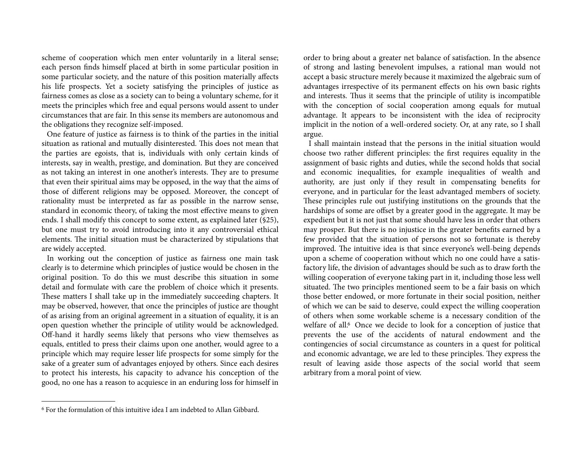scheme of cooperation which men enter voluntarily in a literal sense; each person finds himself placed at birth in some particular position in some particular society, and the nature of this position materially affects his life prospects. Yet a society satisfying the principles of justice as fairness comes as close as a society can to being a voluntary scheme, for it meets the principles which free and equal persons would assent to under circumstances that are fair. In this sense its members are autonomous and the obligations they recognize self-imposed.

One feature of justice as fairness is to think of the parties in the initial situation as rational and mutually disinterested. This does not mean that the parties are egoists, that is, individuals with only certain kinds of interests, say in wealth, prestige, and domination. But they are conceived as not taking an interest in one another's interests. They are to presume that even their spiritual aims may be opposed, in the way that the aims of those of different religions may be opposed. Moreover, the concept of rationality must be interpreted as far as possible in the narrow sense, standard in economic theory, of taking the most effective means to given ends. I shall modify this concept to some extent, as explained later (§25), but one must try to avoid introducing into it any controversial ethical elements. The initial situation must be characterized by stipulations that are widely accepted.

In working out the conception of justice as fairness one main task clearly is to determine which principles of justice would be chosen in the original position. To do this we must describe this situation in some detail and formulate with care the problem of choice which it presents. These matters I shall take up in the immediately succeeding chapters. It may be observed, however, that once the principles of justice are thought of as arising from an original agreement in a situation of equality, it is an open question whether the principle of utility would be acknowledged. Off-hand it hardly seems likely that persons who view themselves as equals, entitled to press their claims upon one another, would agree to a principle which may require lesser life prospects for some simply for the sake of a greater sum of advantages enjoyed by others. Since each desires to protect his interests, his capacity to advance his conception of the good, no one has a reason to acquiesce in an enduring loss for himself in

order to bring about a greater net balance of satisfaction. In the absence of strong and lasting benevolent impulses, a rational man would not accept a basic structure merely because it maximized the algebraic sum of advantages irrespective of its permanent effects on his own basic rights and interests. Thus it seems that the principle of utility is incompatible with the conception of social cooperation among equals for mutual advantage. It appears to be inconsistent with the idea of reciprocity implicit in the notion of a well-ordered society. Or, at any rate, so I shall argue.

I shall maintain instead that the persons in the initial situation would choose two rather different principles: the first requires equality in the assignment of basic rights and duties, while the second holds that social and economic inequalities, for example inequalities of wealth and authority, are just only if they result in compensating benefits for everyone, and in particular for the least advantaged members of society. These principles rule out justifying institutions on the grounds that the hardships of some are offset by a greater good in the aggregate. It may be expedient but it is not just that some should have less in order that others may prosper. But there is no injustice in the greater benefits earned by a few provided that the situation of persons not so fortunate is thereby improved. The intuitive idea is that since everyone's well-being depends upon a scheme of cooperation without which no one could have a satisfactory life, the division of advantages should be such as to draw forth the willing cooperation of everyone taking part in it, including those less well situated. The two principles mentioned seem to be a fair basis on which those better endowed, or more fortunate in their social position, neither of which we can be said to deserve, could expect the willing cooperation of others when some workable scheme is a necessary condition of the welfare of all.<sup>6</sup> Once we decide to look for a conception of justice that prevents the use of the accidents of natural endowment and the contingencies of social circumstance as counters in a quest for political and economic advantage, we are led to these principles. They express the result of leaving aside those aspects of the social world that seem arbitrary from a moral point of view.

<span id="page-5-0"></span><sup>6</sup> For the formulation of this intuitive idea I am indebted to Allan Gibbard.